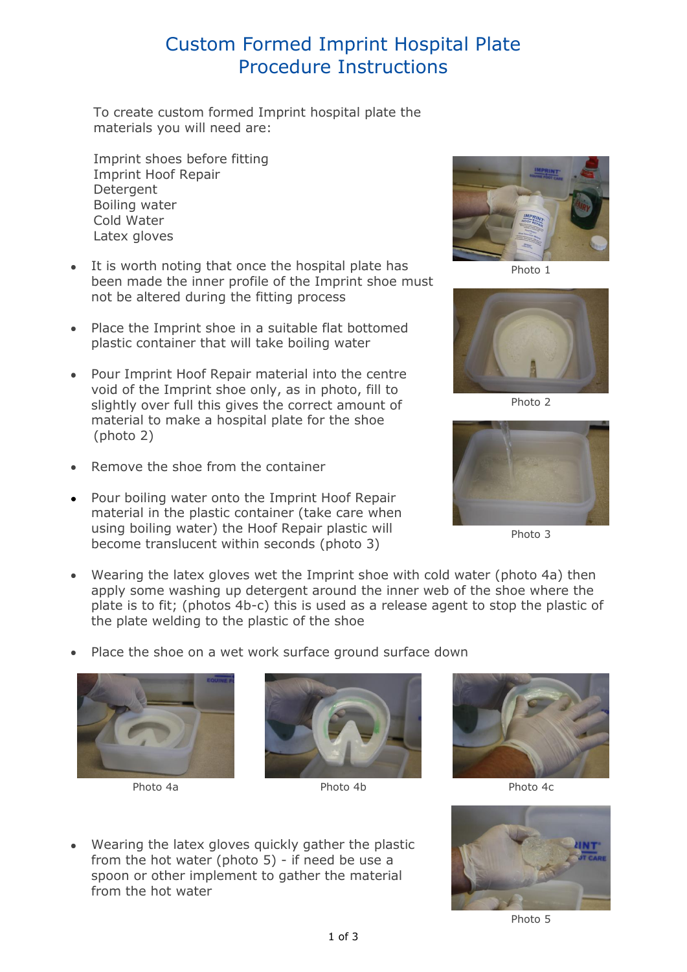## Custom Formed Imprint Hospital Plate Procedure Instructions

To create custom formed Imprint hospital plate the materials you will need are:

Imprint shoes before fitting Imprint Hoof Repair **Detergent** Boiling water Cold Water Latex gloves

- It is worth noting that once the hospital plate has been made the inner profile of the Imprint shoe must not be altered during the fitting process
- Place the Imprint shoe in a suitable flat bottomed plastic container that will take boiling water
- Pour Imprint Hoof Repair material into the centre void of the Imprint shoe only, as in photo, fill to slightly over full this gives the correct amount of material to make a hospital plate for the shoe (photo 2)
- Remove the shoe from the container
- Pour boiling water onto the Imprint Hoof Repair material in the plastic container (take care when using boiling water) the Hoof Repair plastic will become translucent within seconds (photo 3)



Photo 1



Photo 2



Photo 3

- Wearing the latex gloves wet the Imprint shoe with cold water (photo 4a) then apply some washing up detergent around the inner web of the shoe where the plate is to fit; (photos 4b-c) this is used as a release agent to stop the plastic of the plate welding to the plastic of the shoe
- Place the shoe on a wet work surface ground surface down





Photo 4a **Photo 4b** Photo 4c Photo 4c Photo 4c Photo 4c Photo 4c Photo 4c Photo 4c Photo 4c Photo 4c Photo 4c Photo 4c Photo 4c Photo 4c Photo 4c Photo 4c Photo 4c Photo 4c Photo 4c Photo 4c Photo 4c Photo 4c Photo 4c Phot

Wearing the latex gloves quickly gather the plastic from the hot water (photo 5) - if need be use a spoon or other implement to gather the material from the hot water





Photo 5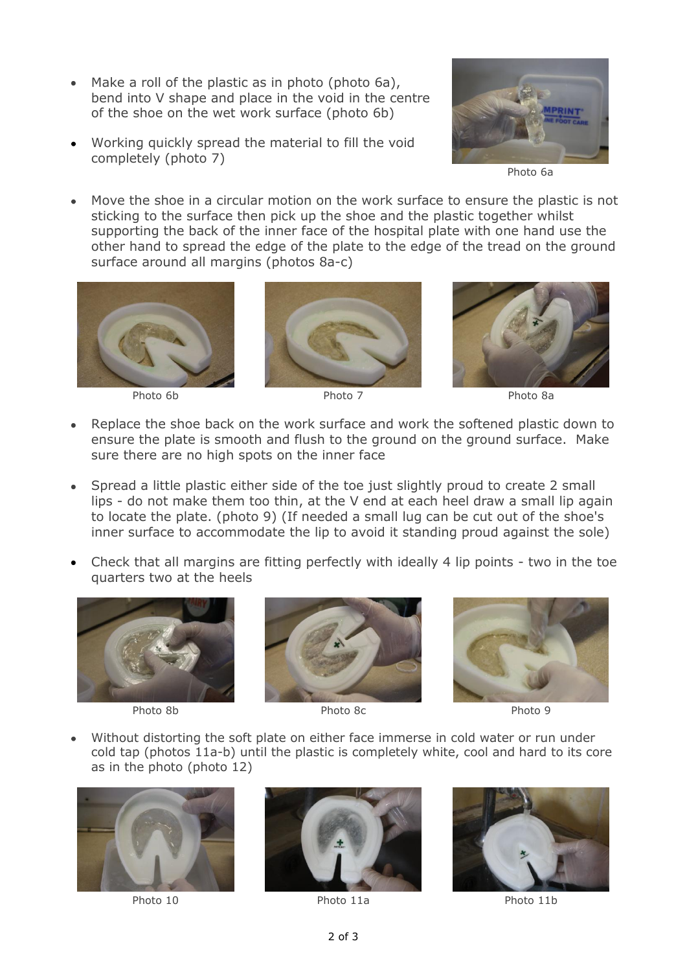- Make a roll of the plastic as in photo (photo 6a), bend into V shape and place in the void in the centre of the shoe on the wet work surface (photo 6b)
- Working quickly spread the material to fill the void completely (photo 7)



Photo 6a

Move the shoe in a circular motion on the work surface to ensure the plastic is not sticking to the surface then pick up the shoe and the plastic together whilst supporting the back of the inner face of the hospital plate with one hand use the other hand to spread the edge of the plate to the edge of the tread on the ground surface around all margins (photos 8a-c)









- Replace the shoe back on the work surface and work the softened plastic down to ensure the plate is smooth and flush to the ground on the ground surface. Make sure there are no high spots on the inner face
- Spread a little plastic either side of the toe just slightly proud to create 2 small lips - do not make them too thin, at the V end at each heel draw a small lip again to locate the plate. (photo 9) (If needed a small lug can be cut out of the shoe's inner surface to accommodate the lip to avoid it standing proud against the sole)
- Check that all margins are fitting perfectly with ideally 4 lip points two in the toe quarters two at the heels





Photo 8b Photo 8c Photo 9c



Without distorting the soft plate on either face immerse in cold water or run under cold tap (photos 11a-b) until the plastic is completely white, cool and hard to its core as in the photo (photo 12)







Photo 10 Photo 11a Photo 11b